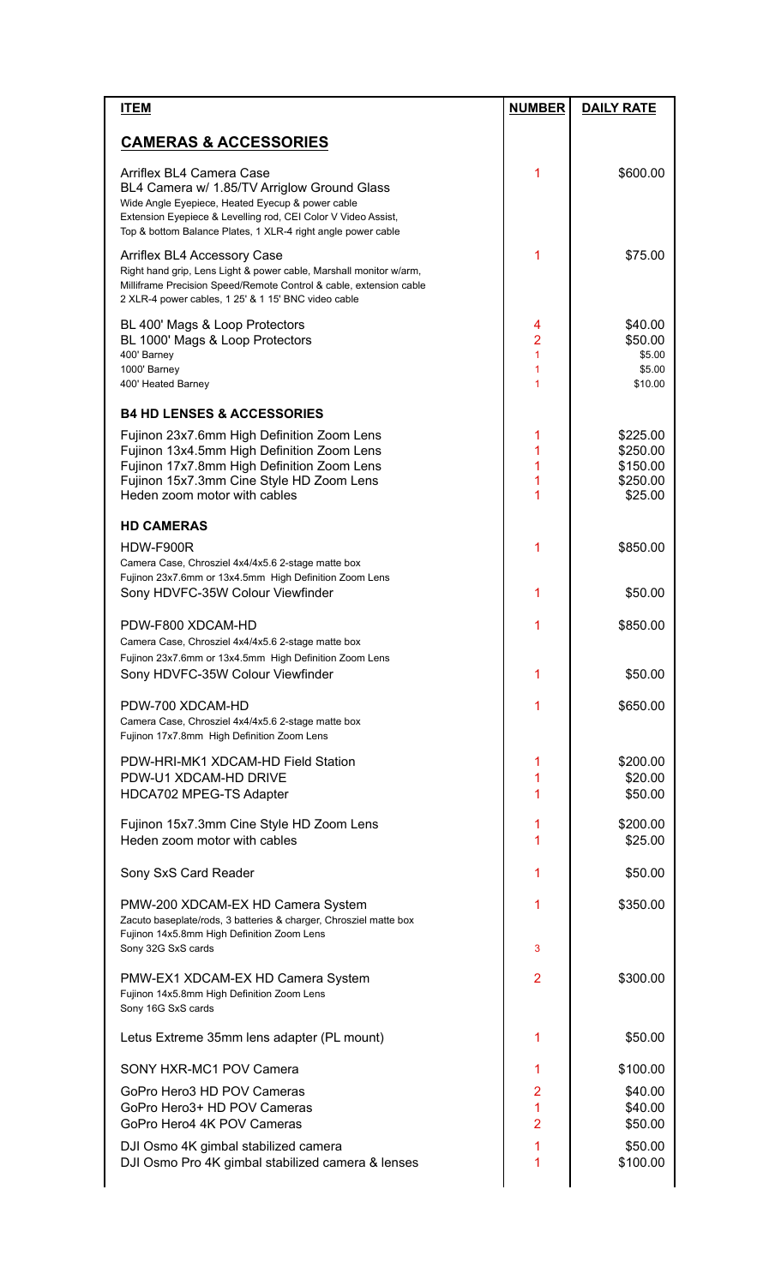| <b>CAMERAS &amp; ACCESSORIES</b><br>Arriflex BL4 Camera Case<br>1<br>\$600.00<br>BL4 Camera w/ 1.85/TV Arriglow Ground Glass<br>Wide Angle Eyepiece, Heated Eyecup & power cable<br>Extension Eyepiece & Levelling rod, CEI Color V Video Assist,<br>Top & bottom Balance Plates, 1 XLR-4 right angle power cable<br>1<br>\$75.00<br>Arriflex BL4 Accessory Case<br>Right hand grip, Lens Light & power cable, Marshall monitor w/arm,<br>Milliframe Precision Speed/Remote Control & cable, extension cable<br>2 XLR-4 power cables, 1 25' & 1 15' BNC video cable<br>BL 400' Mags & Loop Protectors<br>\$40.00<br>4<br>$\overline{2}$<br>BL 1000' Mags & Loop Protectors<br>\$50.00<br>$\mathbf{1}$<br>\$5.00<br>400' Barney<br>\$5.00<br>1000' Barney<br>1<br>1<br>400' Heated Barney<br>\$10.00<br><b>B4 HD LENSES &amp; ACCESSORIES</b><br>Fujinon 23x7.6mm High Definition Zoom Lens<br>\$225.00<br>1<br>1<br>Fujinon 13x4.5mm High Definition Zoom Lens<br>\$250.00<br>1<br>Fujinon 17x7.8mm High Definition Zoom Lens<br>\$150.00<br>1<br>Fujinon 15x7.3mm Cine Style HD Zoom Lens<br>\$250.00<br>1<br>Heden zoom motor with cables<br>\$25.00<br><b>HD CAMERAS</b><br>1<br>HDW-F900R<br>\$850.00<br>Camera Case, Chrosziel 4x4/4x5.6 2-stage matte box<br>Fujinon 23x7.6mm or 13x4.5mm High Definition Zoom Lens<br>1<br>Sony HDVFC-35W Colour Viewfinder<br>\$50.00<br>1<br>PDW-F800 XDCAM-HD<br>\$850.00<br>Camera Case, Chrosziel 4x4/4x5.6 2-stage matte box<br>Fujinon 23x7.6mm or 13x4.5mm High Definition Zoom Lens<br>Sony HDVFC-35W Colour Viewfinder<br>\$50.00<br>PDW-700 XDCAM-HD<br>1<br>\$650.00<br>Camera Case, Chrosziel 4x4/4x5.6 2-stage matte box<br>Fujinon 17x7.8mm High Definition Zoom Lens<br>PDW-HRI-MK1 XDCAM-HD Field Station<br>\$200.00<br>1<br>PDW-U1 XDCAM-HD DRIVE<br>1<br>\$20.00<br>1<br>HDCA702 MPEG-TS Adapter<br>\$50.00<br>Fujinon 15x7.3mm Cine Style HD Zoom Lens<br>1<br>\$200.00<br>Heden zoom motor with cables<br>1<br>\$25.00<br>Sony SxS Card Reader<br>1<br>\$50.00<br>1<br>\$350.00<br>PMW-200 XDCAM-EX HD Camera System<br>Zacuto baseplate/rods, 3 batteries & charger, Chrosziel matte box<br>Fujinon 14x5.8mm High Definition Zoom Lens<br>Sony 32G SxS cards<br>3<br>$\overline{2}$<br>\$300.00<br>PMW-EX1 XDCAM-EX HD Camera System<br>Fujinon 14x5.8mm High Definition Zoom Lens<br>Sony 16G SxS cards<br>Letus Extreme 35mm lens adapter (PL mount)<br>1<br>\$50.00<br>SONY HXR-MC1 POV Camera<br>1<br>\$100.00<br>$\overline{2}$<br>GoPro Hero3 HD POV Cameras<br>\$40.00<br>$\mathbf{1}$<br>GoPro Hero3+ HD POV Cameras<br>\$40.00<br>$\overline{2}$<br>GoPro Hero4 4K POV Cameras<br>\$50.00<br>1<br>DJI Osmo 4K gimbal stabilized camera<br>\$50.00<br>DJI Osmo Pro 4K gimbal stabilized camera & lenses<br>1<br>\$100.00 | <b>ITEM</b> | <b>NUMBER</b> | <b>DAILY RATE</b> |
|------------------------------------------------------------------------------------------------------------------------------------------------------------------------------------------------------------------------------------------------------------------------------------------------------------------------------------------------------------------------------------------------------------------------------------------------------------------------------------------------------------------------------------------------------------------------------------------------------------------------------------------------------------------------------------------------------------------------------------------------------------------------------------------------------------------------------------------------------------------------------------------------------------------------------------------------------------------------------------------------------------------------------------------------------------------------------------------------------------------------------------------------------------------------------------------------------------------------------------------------------------------------------------------------------------------------------------------------------------------------------------------------------------------------------------------------------------------------------------------------------------------------------------------------------------------------------------------------------------------------------------------------------------------------------------------------------------------------------------------------------------------------------------------------------------------------------------------------------------------------------------------------------------------------------------------------------------------------------------------------------------------------------------------------------------------------------------------------------------------------------------------------------------------------------------------------------------------------------------------------------------------------------------------------------------------------------------------------------------------------------------------------------------------------------------------------------------------------------------------------------------------------------------------------------------------------------------------------------------------------------------------------------------------------------------------------------------------------------------------------------------------------------------------------|-------------|---------------|-------------------|
|                                                                                                                                                                                                                                                                                                                                                                                                                                                                                                                                                                                                                                                                                                                                                                                                                                                                                                                                                                                                                                                                                                                                                                                                                                                                                                                                                                                                                                                                                                                                                                                                                                                                                                                                                                                                                                                                                                                                                                                                                                                                                                                                                                                                                                                                                                                                                                                                                                                                                                                                                                                                                                                                                                                                                                                                |             |               |                   |
|                                                                                                                                                                                                                                                                                                                                                                                                                                                                                                                                                                                                                                                                                                                                                                                                                                                                                                                                                                                                                                                                                                                                                                                                                                                                                                                                                                                                                                                                                                                                                                                                                                                                                                                                                                                                                                                                                                                                                                                                                                                                                                                                                                                                                                                                                                                                                                                                                                                                                                                                                                                                                                                                                                                                                                                                |             |               |                   |
|                                                                                                                                                                                                                                                                                                                                                                                                                                                                                                                                                                                                                                                                                                                                                                                                                                                                                                                                                                                                                                                                                                                                                                                                                                                                                                                                                                                                                                                                                                                                                                                                                                                                                                                                                                                                                                                                                                                                                                                                                                                                                                                                                                                                                                                                                                                                                                                                                                                                                                                                                                                                                                                                                                                                                                                                |             |               |                   |
|                                                                                                                                                                                                                                                                                                                                                                                                                                                                                                                                                                                                                                                                                                                                                                                                                                                                                                                                                                                                                                                                                                                                                                                                                                                                                                                                                                                                                                                                                                                                                                                                                                                                                                                                                                                                                                                                                                                                                                                                                                                                                                                                                                                                                                                                                                                                                                                                                                                                                                                                                                                                                                                                                                                                                                                                |             |               |                   |
|                                                                                                                                                                                                                                                                                                                                                                                                                                                                                                                                                                                                                                                                                                                                                                                                                                                                                                                                                                                                                                                                                                                                                                                                                                                                                                                                                                                                                                                                                                                                                                                                                                                                                                                                                                                                                                                                                                                                                                                                                                                                                                                                                                                                                                                                                                                                                                                                                                                                                                                                                                                                                                                                                                                                                                                                |             |               |                   |
|                                                                                                                                                                                                                                                                                                                                                                                                                                                                                                                                                                                                                                                                                                                                                                                                                                                                                                                                                                                                                                                                                                                                                                                                                                                                                                                                                                                                                                                                                                                                                                                                                                                                                                                                                                                                                                                                                                                                                                                                                                                                                                                                                                                                                                                                                                                                                                                                                                                                                                                                                                                                                                                                                                                                                                                                |             |               |                   |
|                                                                                                                                                                                                                                                                                                                                                                                                                                                                                                                                                                                                                                                                                                                                                                                                                                                                                                                                                                                                                                                                                                                                                                                                                                                                                                                                                                                                                                                                                                                                                                                                                                                                                                                                                                                                                                                                                                                                                                                                                                                                                                                                                                                                                                                                                                                                                                                                                                                                                                                                                                                                                                                                                                                                                                                                |             |               |                   |
|                                                                                                                                                                                                                                                                                                                                                                                                                                                                                                                                                                                                                                                                                                                                                                                                                                                                                                                                                                                                                                                                                                                                                                                                                                                                                                                                                                                                                                                                                                                                                                                                                                                                                                                                                                                                                                                                                                                                                                                                                                                                                                                                                                                                                                                                                                                                                                                                                                                                                                                                                                                                                                                                                                                                                                                                |             |               |                   |
|                                                                                                                                                                                                                                                                                                                                                                                                                                                                                                                                                                                                                                                                                                                                                                                                                                                                                                                                                                                                                                                                                                                                                                                                                                                                                                                                                                                                                                                                                                                                                                                                                                                                                                                                                                                                                                                                                                                                                                                                                                                                                                                                                                                                                                                                                                                                                                                                                                                                                                                                                                                                                                                                                                                                                                                                |             |               |                   |
|                                                                                                                                                                                                                                                                                                                                                                                                                                                                                                                                                                                                                                                                                                                                                                                                                                                                                                                                                                                                                                                                                                                                                                                                                                                                                                                                                                                                                                                                                                                                                                                                                                                                                                                                                                                                                                                                                                                                                                                                                                                                                                                                                                                                                                                                                                                                                                                                                                                                                                                                                                                                                                                                                                                                                                                                |             |               |                   |
|                                                                                                                                                                                                                                                                                                                                                                                                                                                                                                                                                                                                                                                                                                                                                                                                                                                                                                                                                                                                                                                                                                                                                                                                                                                                                                                                                                                                                                                                                                                                                                                                                                                                                                                                                                                                                                                                                                                                                                                                                                                                                                                                                                                                                                                                                                                                                                                                                                                                                                                                                                                                                                                                                                                                                                                                |             |               |                   |
|                                                                                                                                                                                                                                                                                                                                                                                                                                                                                                                                                                                                                                                                                                                                                                                                                                                                                                                                                                                                                                                                                                                                                                                                                                                                                                                                                                                                                                                                                                                                                                                                                                                                                                                                                                                                                                                                                                                                                                                                                                                                                                                                                                                                                                                                                                                                                                                                                                                                                                                                                                                                                                                                                                                                                                                                |             |               |                   |
|                                                                                                                                                                                                                                                                                                                                                                                                                                                                                                                                                                                                                                                                                                                                                                                                                                                                                                                                                                                                                                                                                                                                                                                                                                                                                                                                                                                                                                                                                                                                                                                                                                                                                                                                                                                                                                                                                                                                                                                                                                                                                                                                                                                                                                                                                                                                                                                                                                                                                                                                                                                                                                                                                                                                                                                                |             |               |                   |
|                                                                                                                                                                                                                                                                                                                                                                                                                                                                                                                                                                                                                                                                                                                                                                                                                                                                                                                                                                                                                                                                                                                                                                                                                                                                                                                                                                                                                                                                                                                                                                                                                                                                                                                                                                                                                                                                                                                                                                                                                                                                                                                                                                                                                                                                                                                                                                                                                                                                                                                                                                                                                                                                                                                                                                                                |             |               |                   |
|                                                                                                                                                                                                                                                                                                                                                                                                                                                                                                                                                                                                                                                                                                                                                                                                                                                                                                                                                                                                                                                                                                                                                                                                                                                                                                                                                                                                                                                                                                                                                                                                                                                                                                                                                                                                                                                                                                                                                                                                                                                                                                                                                                                                                                                                                                                                                                                                                                                                                                                                                                                                                                                                                                                                                                                                |             |               |                   |
|                                                                                                                                                                                                                                                                                                                                                                                                                                                                                                                                                                                                                                                                                                                                                                                                                                                                                                                                                                                                                                                                                                                                                                                                                                                                                                                                                                                                                                                                                                                                                                                                                                                                                                                                                                                                                                                                                                                                                                                                                                                                                                                                                                                                                                                                                                                                                                                                                                                                                                                                                                                                                                                                                                                                                                                                |             |               |                   |
|                                                                                                                                                                                                                                                                                                                                                                                                                                                                                                                                                                                                                                                                                                                                                                                                                                                                                                                                                                                                                                                                                                                                                                                                                                                                                                                                                                                                                                                                                                                                                                                                                                                                                                                                                                                                                                                                                                                                                                                                                                                                                                                                                                                                                                                                                                                                                                                                                                                                                                                                                                                                                                                                                                                                                                                                |             |               |                   |
|                                                                                                                                                                                                                                                                                                                                                                                                                                                                                                                                                                                                                                                                                                                                                                                                                                                                                                                                                                                                                                                                                                                                                                                                                                                                                                                                                                                                                                                                                                                                                                                                                                                                                                                                                                                                                                                                                                                                                                                                                                                                                                                                                                                                                                                                                                                                                                                                                                                                                                                                                                                                                                                                                                                                                                                                |             |               |                   |
|                                                                                                                                                                                                                                                                                                                                                                                                                                                                                                                                                                                                                                                                                                                                                                                                                                                                                                                                                                                                                                                                                                                                                                                                                                                                                                                                                                                                                                                                                                                                                                                                                                                                                                                                                                                                                                                                                                                                                                                                                                                                                                                                                                                                                                                                                                                                                                                                                                                                                                                                                                                                                                                                                                                                                                                                |             |               |                   |
|                                                                                                                                                                                                                                                                                                                                                                                                                                                                                                                                                                                                                                                                                                                                                                                                                                                                                                                                                                                                                                                                                                                                                                                                                                                                                                                                                                                                                                                                                                                                                                                                                                                                                                                                                                                                                                                                                                                                                                                                                                                                                                                                                                                                                                                                                                                                                                                                                                                                                                                                                                                                                                                                                                                                                                                                |             |               |                   |
|                                                                                                                                                                                                                                                                                                                                                                                                                                                                                                                                                                                                                                                                                                                                                                                                                                                                                                                                                                                                                                                                                                                                                                                                                                                                                                                                                                                                                                                                                                                                                                                                                                                                                                                                                                                                                                                                                                                                                                                                                                                                                                                                                                                                                                                                                                                                                                                                                                                                                                                                                                                                                                                                                                                                                                                                |             |               |                   |
|                                                                                                                                                                                                                                                                                                                                                                                                                                                                                                                                                                                                                                                                                                                                                                                                                                                                                                                                                                                                                                                                                                                                                                                                                                                                                                                                                                                                                                                                                                                                                                                                                                                                                                                                                                                                                                                                                                                                                                                                                                                                                                                                                                                                                                                                                                                                                                                                                                                                                                                                                                                                                                                                                                                                                                                                |             |               |                   |
|                                                                                                                                                                                                                                                                                                                                                                                                                                                                                                                                                                                                                                                                                                                                                                                                                                                                                                                                                                                                                                                                                                                                                                                                                                                                                                                                                                                                                                                                                                                                                                                                                                                                                                                                                                                                                                                                                                                                                                                                                                                                                                                                                                                                                                                                                                                                                                                                                                                                                                                                                                                                                                                                                                                                                                                                |             |               |                   |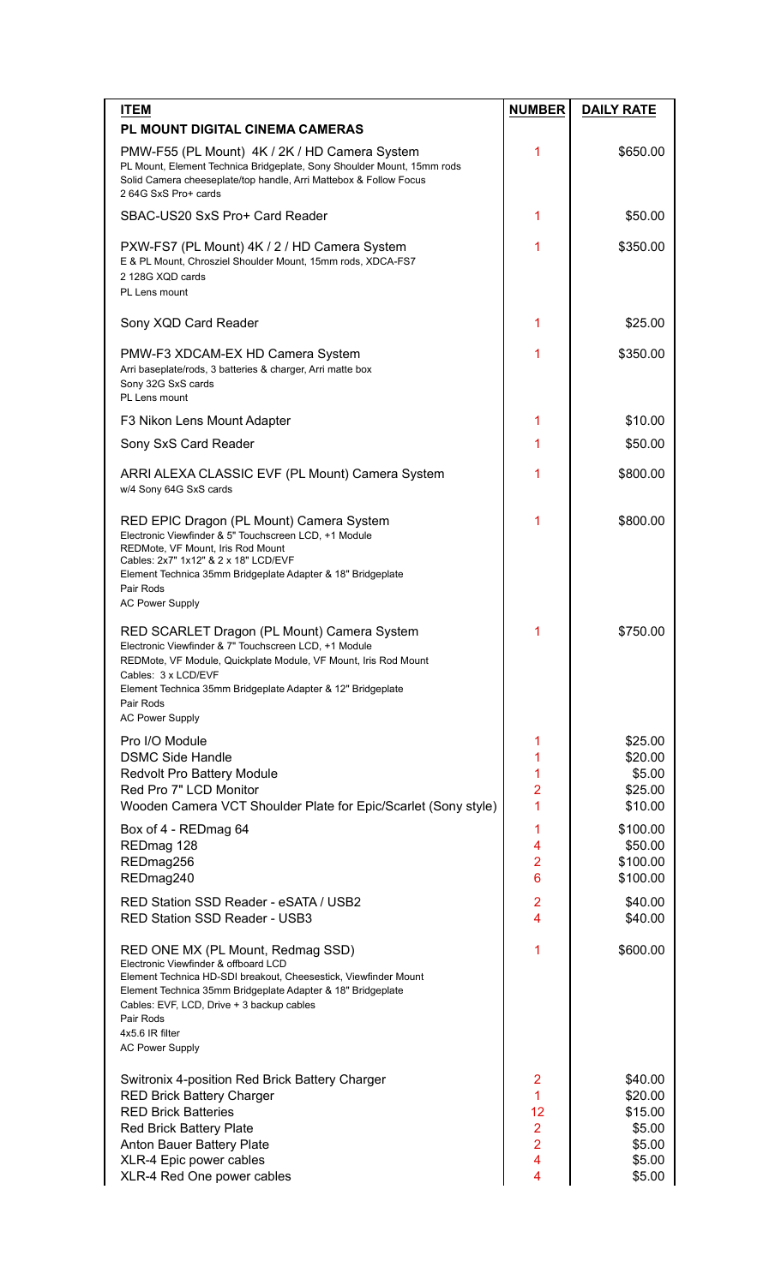| <b>ITEM</b>                                                                                                                                                                                                                                                                                                        | <b>NUMBER</b>        | <b>DAILY RATE</b>  |
|--------------------------------------------------------------------------------------------------------------------------------------------------------------------------------------------------------------------------------------------------------------------------------------------------------------------|----------------------|--------------------|
| <b>PL MOUNT DIGITAL CINEMA CAMERAS</b>                                                                                                                                                                                                                                                                             |                      |                    |
| PMW-F55 (PL Mount) 4K / 2K / HD Camera System<br>PL Mount, Element Technica Bridgeplate, Sony Shoulder Mount, 15mm rods<br>Solid Camera cheeseplate/top handle, Arri Mattebox & Follow Focus<br>2 64G SxS Pro+ cards                                                                                               | 1                    | \$650.00           |
| SBAC-US20 SxS Pro+ Card Reader                                                                                                                                                                                                                                                                                     | 1                    | \$50.00            |
| PXW-FS7 (PL Mount) 4K / 2 / HD Camera System<br>E & PL Mount, Chrosziel Shoulder Mount, 15mm rods, XDCA-FS7<br>2 128G XOD cards<br>PL Lens mount                                                                                                                                                                   | 1                    | \$350.00           |
| Sony XQD Card Reader                                                                                                                                                                                                                                                                                               | 1                    | \$25.00            |
| PMW-F3 XDCAM-EX HD Camera System<br>Arri baseplate/rods, 3 batteries & charger, Arri matte box<br>Sony 32G SxS cards<br>PL Lens mount                                                                                                                                                                              | 1                    | \$350.00           |
| F3 Nikon Lens Mount Adapter                                                                                                                                                                                                                                                                                        | 1                    | \$10.00            |
| Sony SxS Card Reader                                                                                                                                                                                                                                                                                               | 1                    | \$50.00            |
| ARRI ALEXA CLASSIC EVF (PL Mount) Camera System<br>w/4 Sony 64G SxS cards                                                                                                                                                                                                                                          | 1                    | \$800.00           |
| RED EPIC Dragon (PL Mount) Camera System<br>Electronic Viewfinder & 5" Touchscreen LCD, +1 Module<br>REDMote, VF Mount, Iris Rod Mount<br>Cables: 2x7" 1x12" & 2 x 18" LCD/EVF<br>Element Technica 35mm Bridgeplate Adapter & 18" Bridgeplate<br>Pair Rods<br><b>AC Power Supply</b>                               | 1                    | \$800.00           |
| RED SCARLET Dragon (PL Mount) Camera System<br>Electronic Viewfinder & 7" Touchscreen LCD, +1 Module<br>REDMote, VF Module, Quickplate Module, VF Mount, Iris Rod Mount<br>Cables: 3 x LCD/EVF<br>Element Technica 35mm Bridgeplate Adapter & 12" Bridgeplate<br>Pair Rods<br><b>AC Power Supply</b>               | 1                    | \$750.00           |
| Pro I/O Module                                                                                                                                                                                                                                                                                                     | 1                    | \$25.00            |
| <b>DSMC Side Handle</b>                                                                                                                                                                                                                                                                                            | 1                    | \$20.00            |
| Redvolt Pro Battery Module                                                                                                                                                                                                                                                                                         | 1                    | \$5.00             |
| Red Pro 7" LCD Monitor<br>Wooden Camera VCT Shoulder Plate for Epic/Scarlet (Sony style)                                                                                                                                                                                                                           | $\overline{2}$<br>1  | \$25.00<br>\$10.00 |
| Box of 4 - REDmag 64                                                                                                                                                                                                                                                                                               | 1                    | \$100.00           |
| REDmag 128                                                                                                                                                                                                                                                                                                         | 4                    | \$50.00            |
| REDmag256                                                                                                                                                                                                                                                                                                          | $\overline{2}$       | \$100.00           |
| REDmag240                                                                                                                                                                                                                                                                                                          | $6\phantom{1}$       | \$100.00           |
| RED Station SSD Reader - eSATA / USB2<br><b>RED Station SSD Reader - USB3</b>                                                                                                                                                                                                                                      | $\overline{2}$<br>4  | \$40.00<br>\$40.00 |
| RED ONE MX (PL Mount, Redmag SSD)<br>Electronic Viewfinder & offboard LCD<br>Element Technica HD-SDI breakout, Cheesestick, Viewfinder Mount<br>Element Technica 35mm Bridgeplate Adapter & 18" Bridgeplate<br>Cables: EVF, LCD, Drive + 3 backup cables<br>Pair Rods<br>4x5.6 IR filter<br><b>AC Power Supply</b> | 1                    | \$600.00           |
| Switronix 4-position Red Brick Battery Charger                                                                                                                                                                                                                                                                     | 2                    | \$40.00            |
| <b>RED Brick Battery Charger</b>                                                                                                                                                                                                                                                                                   | $\mathbf{1}$         | \$20.00            |
| <b>RED Brick Batteries</b><br>Red Brick Battery Plate                                                                                                                                                                                                                                                              | 12<br>$\overline{2}$ | \$15.00<br>\$5.00  |
| Anton Bauer Battery Plate                                                                                                                                                                                                                                                                                          | $\overline{2}$       | \$5.00             |
| XLR-4 Epic power cables                                                                                                                                                                                                                                                                                            | 4                    | \$5.00             |
| XLR-4 Red One power cables                                                                                                                                                                                                                                                                                         | 4                    | \$5.00             |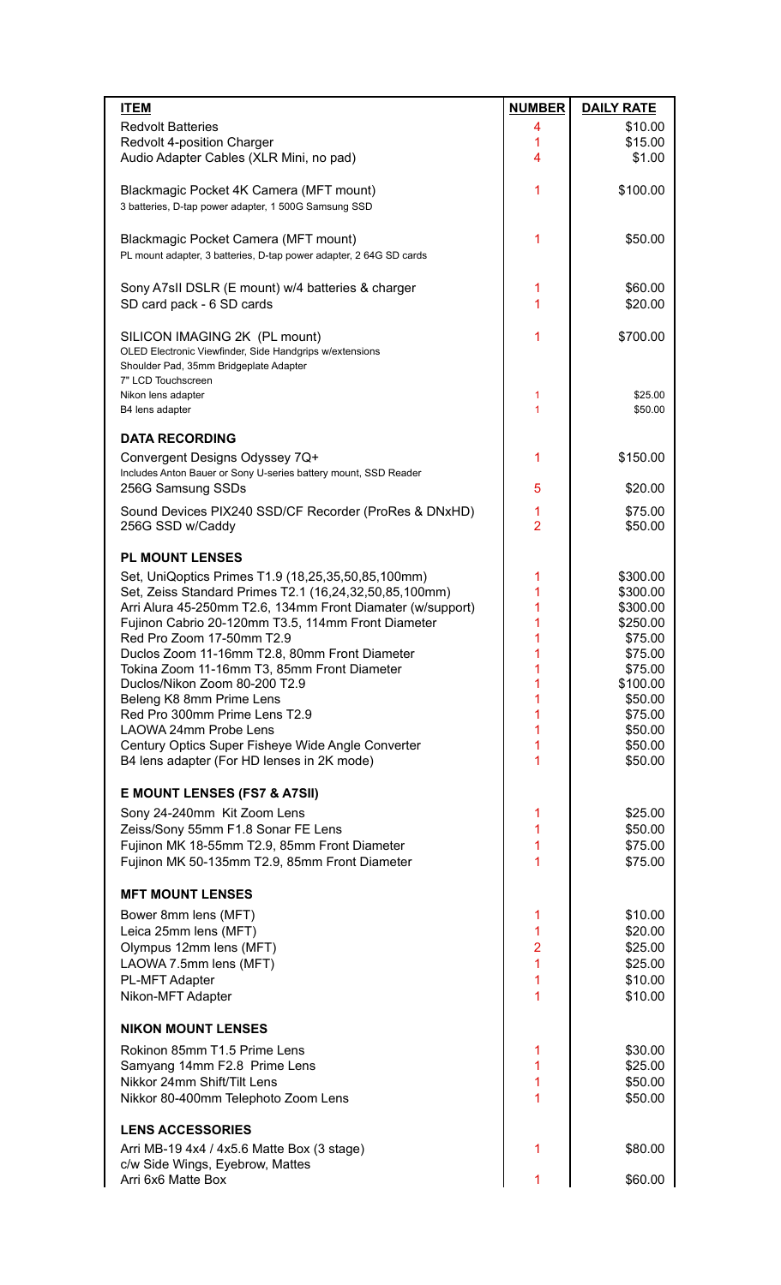| <b>ITEM</b>                                                                                                  | <b>NUMBER</b>  | <b>DAILY RATE</b>    |
|--------------------------------------------------------------------------------------------------------------|----------------|----------------------|
| <b>Redvolt Batteries</b>                                                                                     | 4              | \$10.00              |
| Redvolt 4-position Charger                                                                                   | 1              | \$15.00              |
| Audio Adapter Cables (XLR Mini, no pad)                                                                      | 4              | \$1.00               |
| Blackmagic Pocket 4K Camera (MFT mount)                                                                      | 1              | \$100.00             |
| 3 batteries, D-tap power adapter, 1 500G Samsung SSD                                                         |                |                      |
|                                                                                                              |                |                      |
| Blackmagic Pocket Camera (MFT mount)<br>PL mount adapter, 3 batteries, D-tap power adapter, 2 64G SD cards   | 1              | \$50.00              |
|                                                                                                              |                |                      |
| Sony A7sII DSLR (E mount) w/4 batteries & charger                                                            | 1              | \$60.00              |
| SD card pack - 6 SD cards                                                                                    | 1              | \$20.00              |
|                                                                                                              | 1              | \$700.00             |
| SILICON IMAGING 2K (PL mount)<br>OLED Electronic Viewfinder, Side Handgrips w/extensions                     |                |                      |
| Shoulder Pad, 35mm Bridgeplate Adapter                                                                       |                |                      |
| 7" LCD Touchscreen<br>Nikon lens adapter                                                                     | 1              | \$25.00              |
| B4 lens adapter                                                                                              | 1              | \$50.00              |
|                                                                                                              |                |                      |
| <b>DATA RECORDING</b>                                                                                        | 1              |                      |
| Convergent Designs Odyssey 7Q+<br>Includes Anton Bauer or Sony U-series battery mount, SSD Reader            |                | \$150.00             |
| 256G Samsung SSDs                                                                                            | 5              | \$20.00              |
| Sound Devices PIX240 SSD/CF Recorder (ProRes & DNxHD)                                                        | 1              | \$75.00              |
| 256G SSD w/Caddy                                                                                             | $\overline{2}$ | \$50.00              |
|                                                                                                              |                |                      |
| <b>PL MOUNT LENSES</b>                                                                                       |                |                      |
| Set, UniQoptics Primes T1.9 (18,25,35,50,85,100mm)<br>Set, Zeiss Standard Primes T2.1 (16,24,32,50,85,100mm) | 1<br>1         | \$300.00<br>\$300.00 |
| Arri Alura 45-250mm T2.6, 134mm Front Diamater (w/support)                                                   | 1              | \$300.00             |
| Fujinon Cabrio 20-120mm T3.5, 114mm Front Diameter                                                           | 1              | \$250.00             |
| Red Pro Zoom 17-50mm T2.9<br>Duclos Zoom 11-16mm T2.8, 80mm Front Diameter                                   | 1<br>1         | \$75.00<br>\$75.00   |
| Tokina Zoom 11-16mm T3, 85mm Front Diameter                                                                  |                | \$75.00              |
| Duclos/Nikon Zoom 80-200 T2.9                                                                                | 1              | \$100.00             |
| Beleng K8 8mm Prime Lens                                                                                     | 1              | \$50.00              |
| Red Pro 300mm Prime Lens T2.9<br>LAOWA 24mm Probe Lens                                                       | 1<br>1         | \$75.00<br>\$50.00   |
| Century Optics Super Fisheye Wide Angle Converter                                                            | 1              | \$50.00              |
| B4 lens adapter (For HD lenses in 2K mode)                                                                   | 1              | \$50.00              |
|                                                                                                              |                |                      |
| <b>E MOUNT LENSES (FS7 &amp; A7SII)</b>                                                                      |                |                      |
| Sony 24-240mm Kit Zoom Lens<br>Zeiss/Sony 55mm F1.8 Sonar FE Lens                                            | 1<br>1         | \$25.00<br>\$50.00   |
| Fujinon MK 18-55mm T2.9, 85mm Front Diameter                                                                 | 1              | \$75.00              |
| Fujinon MK 50-135mm T2.9, 85mm Front Diameter                                                                | 1              | \$75.00              |
|                                                                                                              |                |                      |
| <b>MFT MOUNT LENSES</b>                                                                                      |                |                      |
| Bower 8mm lens (MFT)<br>Leica 25mm lens (MFT)                                                                | 1<br>1         | \$10.00<br>\$20.00   |
| Olympus 12mm lens (MFT)                                                                                      | $\overline{2}$ | \$25.00              |
| LAOWA 7.5mm lens (MFT)                                                                                       | 1              | \$25.00              |
| PL-MFT Adapter                                                                                               | 1              | \$10.00              |
| Nikon-MFT Adapter                                                                                            | 1              | \$10.00              |
| <b>NIKON MOUNT LENSES</b>                                                                                    |                |                      |
| Rokinon 85mm T1.5 Prime Lens                                                                                 | 1              | \$30.00              |
| Samyang 14mm F2.8 Prime Lens                                                                                 | 1              | \$25.00              |
| Nikkor 24mm Shift/Tilt Lens                                                                                  | 1              | \$50.00              |
| Nikkor 80-400mm Telephoto Zoom Lens                                                                          | 1              | \$50.00              |
| <b>LENS ACCESSORIES</b>                                                                                      |                |                      |
| Arri MB-19 4x4 / 4x5.6 Matte Box (3 stage)                                                                   | 1              | \$80.00              |
| c/w Side Wings, Eyebrow, Mattes                                                                              |                |                      |
| Arri 6x6 Matte Box                                                                                           | 1              | \$60.00              |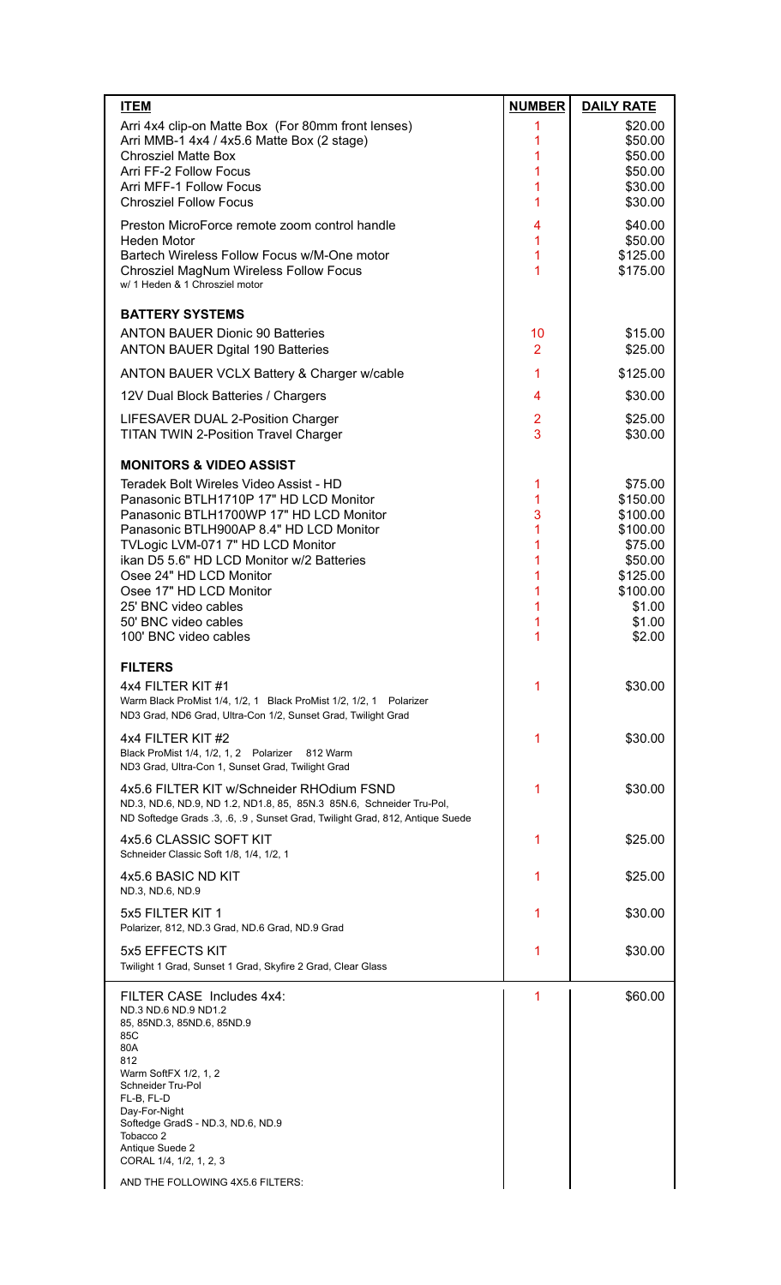| <b>ITEM</b>                                                                                          | <b>NUMBER</b>  | <b>DAILY RATE</b>   |
|------------------------------------------------------------------------------------------------------|----------------|---------------------|
| Arri 4x4 clip-on Matte Box (For 80mm front lenses)                                                   | 1              | \$20.00             |
| Arri MMB-1 4x4 / 4x5.6 Matte Box (2 stage)                                                           | 1              | \$50.00             |
| <b>Chrosziel Matte Box</b><br>Arri FF-2 Follow Focus                                                 | 1<br>1         | \$50.00<br>\$50.00  |
| Arri MFF-1 Follow Focus                                                                              | 1              | \$30.00             |
| <b>Chrosziel Follow Focus</b>                                                                        | 1              | \$30.00             |
| Preston MicroForce remote zoom control handle                                                        | 4              | \$40.00             |
| <b>Heden Motor</b>                                                                                   | 1              | \$50.00             |
| Bartech Wireless Follow Focus w/M-One motor                                                          | 1              | \$125.00            |
| Chrosziel MagNum Wireless Follow Focus<br>w/ 1 Heden & 1 Chrosziel motor                             | 1              | \$175.00            |
|                                                                                                      |                |                     |
| <b>BATTERY SYSTEMS</b>                                                                               |                |                     |
| <b>ANTON BAUER Dionic 90 Batteries</b>                                                               | 10             | \$15.00             |
| <b>ANTON BAUER Dgital 190 Batteries</b>                                                              | $\overline{2}$ | \$25.00             |
| ANTON BAUER VCLX Battery & Charger w/cable                                                           | 1              | \$125.00            |
| 12V Dual Block Batteries / Chargers                                                                  | 4              | \$30.00             |
| LIFESAVER DUAL 2-Position Charger                                                                    | $\overline{2}$ | \$25.00             |
| <b>TITAN TWIN 2-Position Travel Charger</b>                                                          | 3              | \$30.00             |
| <b>MONITORS &amp; VIDEO ASSIST</b>                                                                   |                |                     |
| Teradek Bolt Wireles Video Assist - HD                                                               |                | \$75.00             |
| Panasonic BTLH1710P 17" HD LCD Monitor                                                               | 1<br>1         | \$150.00            |
| Panasonic BTLH1700WP 17" HD LCD Monitor                                                              | 3              | \$100.00            |
| Panasonic BTLH900AP 8.4" HD LCD Monitor                                                              | 1              | \$100.00            |
| TVLogic LVM-071 7" HD LCD Monitor                                                                    | 1              | \$75.00             |
| ikan D5 5.6" HD LCD Monitor w/2 Batteries<br>Osee 24" HD LCD Monitor                                 | 1<br>1         | \$50.00<br>\$125.00 |
| Osee 17" HD LCD Monitor                                                                              | 1              | \$100.00            |
| 25' BNC video cables                                                                                 | 1              | \$1.00              |
| 50' BNC video cables                                                                                 | 1              | \$1.00              |
| 100' BNC video cables                                                                                | 1              | \$2.00              |
| <b>FILTERS</b>                                                                                       |                |                     |
| 4x4 FILTER KIT #1                                                                                    | 1              | \$30.00             |
| Warm Black ProMist 1/4, 1/2, 1 Black ProMist 1/2, 1/2, 1 Polarizer                                   |                |                     |
| ND3 Grad, ND6 Grad, Ultra-Con 1/2, Sunset Grad, Twilight Grad                                        |                |                     |
| 4x4 FILTER KIT #2                                                                                    | 1              | \$30.00             |
| Black ProMist 1/4, 1/2, 1, 2 Polarizer 812 Warm<br>ND3 Grad, Ultra-Con 1, Sunset Grad, Twilight Grad |                |                     |
| 4x5.6 FILTER KIT w/Schneider RHOdium FSND                                                            | 1              | \$30.00             |
| ND.3, ND.6, ND.9, ND 1.2, ND1.8, 85, 85N.3 85N.6, Schneider Tru-Pol,                                 |                |                     |
| ND Softedge Grads .3, .6, .9, Sunset Grad, Twilight Grad, 812, Antique Suede                         |                |                     |
| 4x5.6 CLASSIC SOFT KIT                                                                               | 1              | \$25.00             |
| Schneider Classic Soft 1/8, 1/4, 1/2, 1                                                              |                |                     |
| 4x5.6 BASIC ND KIT                                                                                   | 1              | \$25.00             |
| ND.3, ND.6, ND.9                                                                                     |                |                     |
| 5x5 FILTER KIT 1                                                                                     | 1              | \$30.00             |
| Polarizer, 812, ND.3 Grad, ND.6 Grad, ND.9 Grad                                                      |                |                     |
| 5x5 EFFECTS KIT                                                                                      | 1              | \$30.00             |
| Twilight 1 Grad, Sunset 1 Grad, Skyfire 2 Grad, Clear Glass                                          |                |                     |
| FILTER CASE Includes 4x4:                                                                            | 1              | \$60.00             |
| ND.3 ND.6 ND.9 ND1.2<br>85, 85ND.3, 85ND.6, 85ND.9                                                   |                |                     |
| 85C                                                                                                  |                |                     |
| 80A<br>812                                                                                           |                |                     |
| Warm SoftFX 1/2, 1, 2                                                                                |                |                     |
| Schneider Tru-Pol<br>FL-B, FL-D                                                                      |                |                     |
| Day-For-Night                                                                                        |                |                     |
| Softedge GradS - ND.3, ND.6, ND.9<br>Tobacco <sub>2</sub>                                            |                |                     |
| Antique Suede 2                                                                                      |                |                     |
| CORAL 1/4, 1/2, 1, 2, 3                                                                              |                |                     |
| AND THE FOLLOWING 4X5.6 FILTERS:                                                                     |                |                     |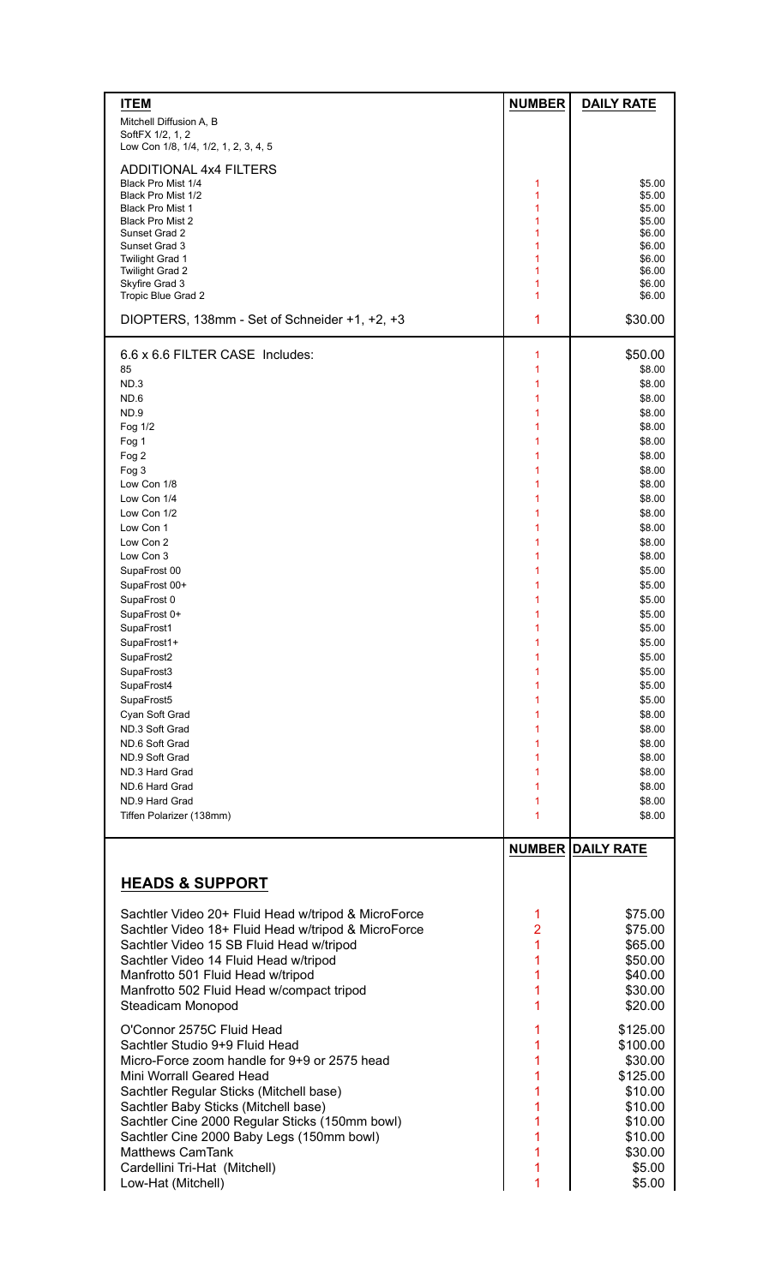| <b>ITEM</b>                                              | <b>NUMBER</b> | <b>DAILY RATE</b>        |
|----------------------------------------------------------|---------------|--------------------------|
| Mitchell Diffusion A, B                                  |               |                          |
| SoftFX 1/2, 1, 2<br>Low Con 1/8, 1/4, 1/2, 1, 2, 3, 4, 5 |               |                          |
| <b>ADDITIONAL 4x4 FILTERS</b>                            |               |                          |
| Black Pro Mist 1/4                                       | 1             | \$5.00                   |
| Black Pro Mist 1/2<br><b>Black Pro Mist 1</b>            | 1<br>1        | \$5.00<br>\$5.00         |
| <b>Black Pro Mist 2</b>                                  | 1             | \$5.00                   |
| Sunset Grad 2                                            | 1             | \$6.00                   |
| Sunset Grad 3<br><b>Twilight Grad 1</b>                  | 1<br>1        | \$6.00<br>\$6.00         |
| <b>Twilight Grad 2</b>                                   | 1             | \$6.00                   |
| Skyfire Grad 3                                           | 1             | \$6.00                   |
| Tropic Blue Grad 2                                       | 1             | \$6.00                   |
| DIOPTERS, 138mm - Set of Schneider +1, +2, +3            | 1             | \$30.00                  |
| 6.6 x 6.6 FILTER CASE Includes:                          | 1             | \$50.00                  |
| 85                                                       | 1             | \$8.00                   |
| ND.3                                                     | 1             | \$8.00                   |
| ND.6                                                     | 1<br>1        | \$8.00                   |
| ND.9<br>Fog 1/2                                          | 1             | \$8.00<br>\$8.00         |
| Fog 1                                                    | 1             | \$8.00                   |
| Fog 2                                                    | 1             | \$8.00                   |
| Fog 3                                                    | 1             | \$8.00                   |
| Low Con 1/8                                              | 1             | \$8.00                   |
| Low Con 1/4                                              | 1             | \$8.00                   |
| Low Con 1/2                                              | 1             | \$8.00                   |
| Low Con 1                                                | 1             | \$8.00                   |
| Low Con 2<br>Low Con 3                                   | 1<br>1        | \$8.00<br>\$8.00         |
| SupaFrost 00                                             | 1             | \$5.00                   |
| SupaFrost 00+                                            | 1             | \$5.00                   |
| SupaFrost 0                                              | 1             | \$5.00                   |
| SupaFrost 0+                                             | 1             | \$5.00                   |
| SupaFrost1                                               | 1             | \$5.00                   |
| SupaFrost1+                                              | 1             | \$5.00                   |
| SupaFrost2                                               | 1             | \$5.00                   |
| SupaFrost3<br>SupaFrost4                                 | 1<br>1        | \$5.00<br>\$5.00         |
| SupaFrost5                                               | 1             | \$5.00                   |
| Cyan Soft Grad                                           | 1             | \$8.00                   |
| ND.3 Soft Grad                                           | 1             | \$8.00                   |
| ND.6 Soft Grad                                           | 1             | \$8.00                   |
| ND.9 Soft Grad                                           | 1             | \$8.00                   |
| ND.3 Hard Grad                                           | 1             | \$8.00                   |
| ND.6 Hard Grad<br>ND.9 Hard Grad                         | 1<br>1        | \$8.00<br>\$8.00         |
| Tiffen Polarizer (138mm)                                 | 1             | \$8.00                   |
|                                                          |               |                          |
|                                                          |               | <b>NUMBER DAILY RATE</b> |
| <b>HEADS &amp; SUPPORT</b>                               |               |                          |
| Sachtler Video 20+ Fluid Head w/tripod & MicroForce      | 1             | \$75.00                  |
| Sachtler Video 18+ Fluid Head w/tripod & MicroForce      | 2             | \$75.00                  |
| Sachtler Video 15 SB Fluid Head w/tripod                 | 1             | \$65.00                  |
| Sachtler Video 14 Fluid Head w/tripod                    | 1             | \$50.00                  |
| Manfrotto 501 Fluid Head w/tripod                        | 1             | \$40.00                  |
| Manfrotto 502 Fluid Head w/compact tripod                | 1             | \$30.00                  |
| Steadicam Monopod                                        | 1             | \$20.00                  |
| O'Connor 2575C Fluid Head                                | 1             | \$125.00                 |
| Sachtler Studio 9+9 Fluid Head                           | 1             | \$100.00                 |
| Micro-Force zoom handle for 9+9 or 2575 head             | 1             | \$30.00                  |
| Mini Worrall Geared Head                                 | 1             | \$125.00                 |
| Sachtler Regular Sticks (Mitchell base)                  | 1             | \$10.00                  |
| Sachtler Baby Sticks (Mitchell base)                     | 1             | \$10.00                  |
| Sachtler Cine 2000 Regular Sticks (150mm bowl)           | 1             | \$10.00                  |
| Sachtler Cine 2000 Baby Legs (150mm bowl)                | 1             | \$10.00                  |
| <b>Matthews CamTank</b>                                  | 1             | \$30.00                  |
| Cardellini Tri-Hat (Mitchell)                            | 1             | \$5.00                   |
| Low-Hat (Mitchell)                                       | 1             | \$5.00                   |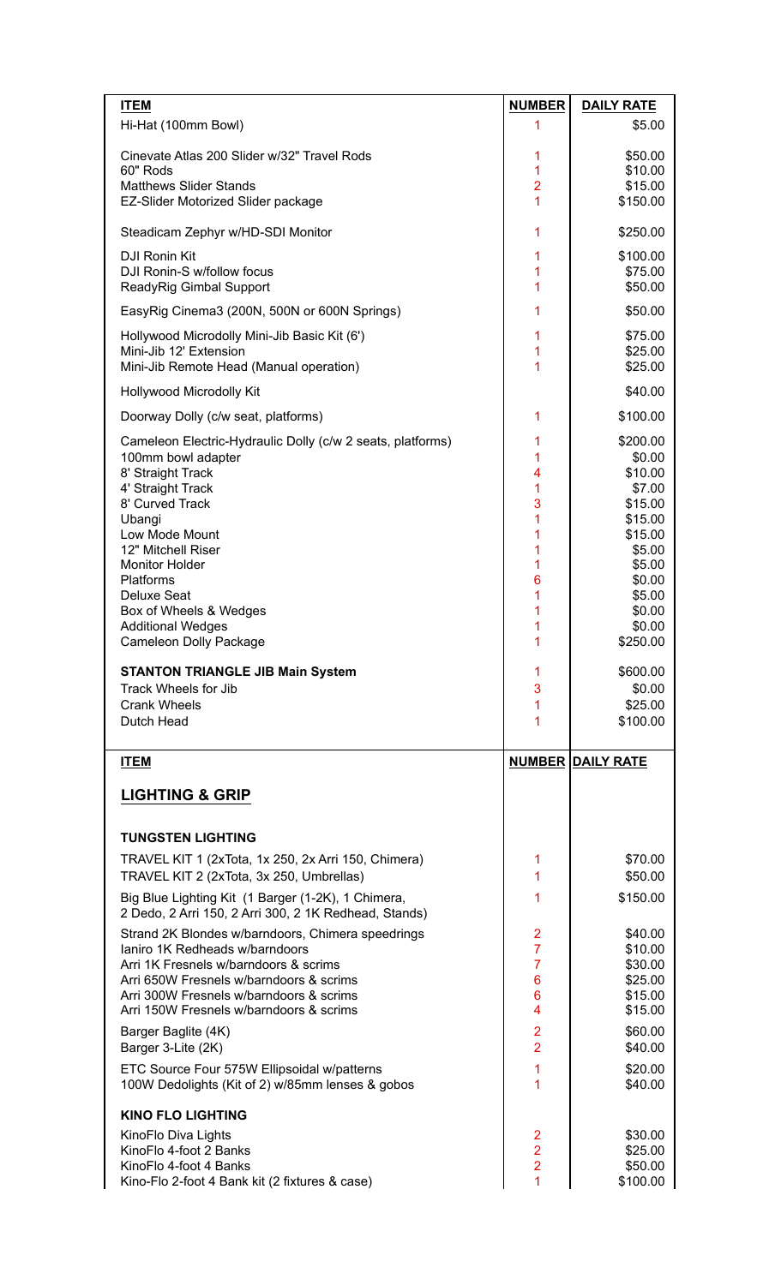| <b>ITEM</b>                                                                        | <b>NUMBER</b>       | <b>DAILY RATE</b>        |
|------------------------------------------------------------------------------------|---------------------|--------------------------|
| Hi-Hat (100mm Bowl)                                                                | 1                   | \$5.00                   |
|                                                                                    |                     |                          |
| Cinevate Atlas 200 Slider w/32" Travel Rods<br>60" Rods                            | 1<br>$\overline{1}$ | \$50.00<br>\$10.00       |
| <b>Matthews Slider Stands</b>                                                      | $\overline{2}$      | \$15.00                  |
| EZ-Slider Motorized Slider package                                                 | $\overline{1}$      | \$150.00                 |
|                                                                                    |                     |                          |
| Steadicam Zephyr w/HD-SDI Monitor                                                  | 1                   | \$250.00                 |
| <b>DJI Ronin Kit</b>                                                               | 1                   | \$100.00                 |
| DJI Ronin-S w/follow focus                                                         | 1                   | \$75.00                  |
| ReadyRig Gimbal Support                                                            | 1                   | \$50.00                  |
| EasyRig Cinema3 (200N, 500N or 600N Springs)                                       | 1                   | \$50.00                  |
| Hollywood Microdolly Mini-Jib Basic Kit (6')                                       | 1                   | \$75.00                  |
| Mini-Jib 12' Extension                                                             | 1                   | \$25.00                  |
| Mini-Jib Remote Head (Manual operation)                                            | 1                   | \$25.00                  |
| Hollywood Microdolly Kit                                                           |                     | \$40.00                  |
| Doorway Dolly (c/w seat, platforms)                                                | 1                   | \$100.00                 |
| Cameleon Electric-Hydraulic Dolly (c/w 2 seats, platforms)                         | 1                   | \$200.00                 |
| 100mm bowl adapter                                                                 | 1                   | \$0.00                   |
| 8' Straight Track                                                                  | 4                   | \$10.00                  |
| 4' Straight Track                                                                  | 1                   | \$7.00                   |
| 8' Curved Track                                                                    | 3                   | \$15.00                  |
| Ubangi<br>Low Mode Mount                                                           | 1<br>1              | \$15.00<br>\$15.00       |
| 12" Mitchell Riser                                                                 | 1                   | \$5.00                   |
| <b>Monitor Holder</b>                                                              | 1                   | \$5.00                   |
| Platforms                                                                          | $6\phantom{1}6$     | \$0.00                   |
| <b>Deluxe Seat</b>                                                                 | 1<br>1              | \$5.00                   |
| Box of Wheels & Wedges<br><b>Additional Wedges</b>                                 | 1                   | \$0.00<br>\$0.00         |
| Cameleon Dolly Package                                                             | 1                   | \$250.00                 |
|                                                                                    |                     |                          |
| <b>STANTON TRIANGLE JIB Main System</b><br><b>Track Wheels for Jib</b>             | 1<br>3              | \$600.00<br>\$0.00       |
| <b>Crank Wheels</b>                                                                | $\overline{1}$      | \$25.00                  |
| Dutch Head                                                                         | 1                   | \$100.00                 |
|                                                                                    |                     |                          |
| <b>ITEM</b>                                                                        |                     | <b>NUMBER DAILY RATE</b> |
| <b>LIGHTING &amp; GRIP</b>                                                         |                     |                          |
|                                                                                    |                     |                          |
| <b>TUNGSTEN LIGHTING</b>                                                           |                     |                          |
| TRAVEL KIT 1 (2xTota, 1x 250, 2x Arri 150, Chimera)                                | 1                   | \$70.00                  |
| TRAVEL KIT 2 (2xTota, 3x 250, Umbrellas)                                           | 1                   | \$50.00                  |
| Big Blue Lighting Kit (1 Barger (1-2K), 1 Chimera,                                 | 1                   | \$150.00                 |
| 2 Dedo, 2 Arri 150, 2 Arri 300, 2 1K Redhead, Stands)                              |                     |                          |
| Strand 2K Blondes w/barndoors, Chimera speedrings                                  | $\overline{2}$      | \$40.00                  |
| laniro 1K Redheads w/barndoors                                                     | $\overline{7}$      | \$10.00                  |
| Arri 1K Fresnels w/barndoors & scrims                                              | $\overline{7}$      | \$30.00                  |
| Arri 650W Fresnels w/barndoors & scrims<br>Arri 300W Fresnels w/barndoors & scrims | 6<br>6              | \$25.00<br>\$15.00       |
| Arri 150W Fresnels w/barndoors & scrims                                            | 4                   | \$15.00                  |
| Barger Baglite (4K)                                                                | $\overline{2}$      | \$60.00                  |
| Barger 3-Lite (2K)                                                                 | $\overline{2}$      | \$40.00                  |
| ETC Source Four 575W Ellipsoidal w/patterns                                        | 1                   | \$20.00                  |
| 100W Dedolights (Kit of 2) w/85mm lenses & gobos                                   | 1                   | \$40.00                  |
| <b>KINO FLO LIGHTING</b>                                                           |                     |                          |
| KinoFlo Diva Lights                                                                | 2                   | \$30.00                  |
| KinoFlo 4-foot 2 Banks                                                             | $\overline{2}$      | \$25.00                  |
| KinoFlo 4-foot 4 Banks<br>Kino-Flo 2-foot 4 Bank kit (2 fixtures & case)           | $\overline{2}$<br>1 | \$50.00<br>\$100.00      |
|                                                                                    |                     |                          |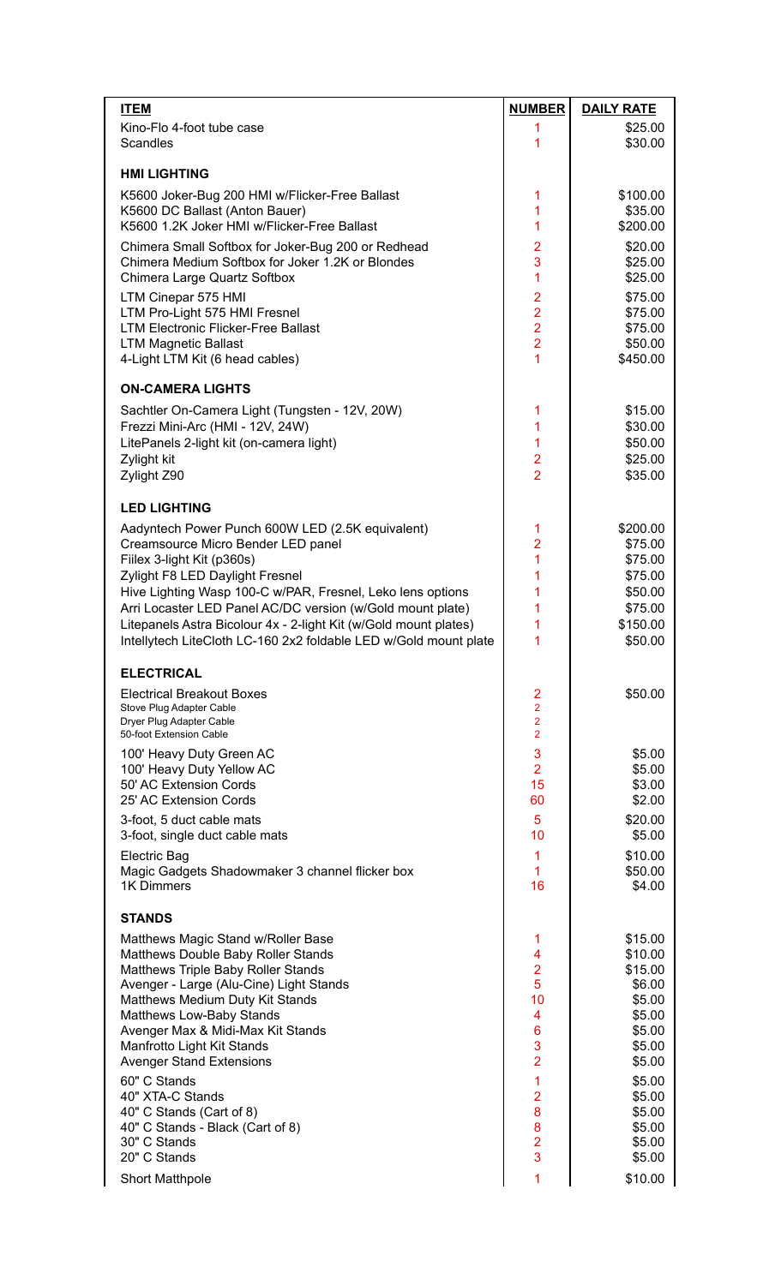| <b>ITEM</b>                                                                                                         | <b>NUMBER</b>                                                        | <b>DAILY RATE</b> |
|---------------------------------------------------------------------------------------------------------------------|----------------------------------------------------------------------|-------------------|
| Kino-Flo 4-foot tube case                                                                                           | 1                                                                    | \$25.00           |
| <b>Scandles</b>                                                                                                     | 1                                                                    | \$30.00           |
| <b>HMI LIGHTING</b>                                                                                                 |                                                                      |                   |
| K5600 Joker-Bug 200 HMI w/Flicker-Free Ballast                                                                      | 1                                                                    | \$100.00          |
| K5600 DC Ballast (Anton Bauer)                                                                                      | 1                                                                    | \$35.00           |
| K5600 1.2K Joker HMI w/Flicker-Free Ballast                                                                         | 1                                                                    | \$200.00          |
| Chimera Small Softbox for Joker-Bug 200 or Redhead                                                                  | $\overline{2}$                                                       | \$20.00           |
| Chimera Medium Softbox for Joker 1.2K or Blondes                                                                    | 3                                                                    | \$25.00           |
| Chimera Large Quartz Softbox                                                                                        | 1                                                                    | \$25.00           |
| LTM Cinepar 575 HMI                                                                                                 | $\overline{2}$                                                       | \$75.00           |
| LTM Pro-Light 575 HMI Fresnel                                                                                       | $\overline{2}$                                                       | \$75.00           |
| <b>LTM Electronic Flicker-Free Ballast</b>                                                                          | $\overline{2}$                                                       | \$75.00           |
| <b>LTM Magnetic Ballast</b>                                                                                         | $\overline{2}$                                                       | \$50.00           |
| 4-Light LTM Kit (6 head cables)                                                                                     | 1                                                                    | \$450.00          |
| <b>ON-CAMERA LIGHTS</b>                                                                                             |                                                                      |                   |
| Sachtler On-Camera Light (Tungsten - 12V, 20W)                                                                      | 1                                                                    | \$15.00           |
| Frezzi Mini-Arc (HMI - 12V, 24W)                                                                                    | $\mathbf{1}$                                                         | \$30.00           |
| LitePanels 2-light kit (on-camera light)                                                                            | $\mathbf{1}$                                                         | \$50.00           |
| Zylight kit                                                                                                         | $\overline{2}$                                                       | \$25.00           |
| Zylight Z90                                                                                                         | $\overline{2}$                                                       | \$35.00           |
| <b>LED LIGHTING</b>                                                                                                 |                                                                      |                   |
| Aadyntech Power Punch 600W LED (2.5K equivalent)                                                                    | 1                                                                    | \$200.00          |
| Creamsource Micro Bender LED panel                                                                                  | $\overline{2}$                                                       | \$75.00           |
| Filex 3-light Kit (p360s)                                                                                           | $\overline{1}$                                                       | \$75.00           |
| Zylight F8 LED Daylight Fresnel                                                                                     | 1                                                                    | \$75.00           |
| Hive Lighting Wasp 100-C w/PAR, Fresnel, Leko lens options                                                          | 1                                                                    | \$50.00           |
| Arri Locaster LED Panel AC/DC version (w/Gold mount plate)                                                          | 1                                                                    | \$75.00           |
| Litepanels Astra Bicolour 4x - 2-light Kit (w/Gold mount plates)                                                    | 1                                                                    | \$150.00          |
| Intellytech LiteCloth LC-160 2x2 foldable LED w/Gold mount plate                                                    | 1                                                                    | \$50.00           |
| <b>ELECTRICAL</b>                                                                                                   |                                                                      |                   |
| <b>Electrical Breakout Boxes</b><br>Stove Plug Adapter Cable<br>Dryer Plug Adapter Cable<br>50-foot Extension Cable | $\overline{2}$<br>$\overline{2}$<br>$\overline{2}$<br>$\overline{2}$ | \$50.00           |
| 100' Heavy Duty Green AC                                                                                            | 3                                                                    | \$5.00            |
| 100' Heavy Duty Yellow AC                                                                                           | $\overline{2}$                                                       | \$5.00            |
| 50' AC Extension Cords                                                                                              | 15                                                                   | \$3.00            |
| 25' AC Extension Cords                                                                                              | 60                                                                   | \$2.00            |
| 3-foot, 5 duct cable mats                                                                                           | 5                                                                    | \$20.00           |
| 3-foot, single duct cable mats                                                                                      | 10                                                                   | \$5.00            |
| <b>Electric Bag</b>                                                                                                 | 1                                                                    | \$10.00           |
| Magic Gadgets Shadowmaker 3 channel flicker box                                                                     | $\mathbf{1}$                                                         | \$50.00           |
| 1K Dimmers                                                                                                          | 16                                                                   | \$4.00            |
| <b>STANDS</b>                                                                                                       |                                                                      |                   |
| Matthews Magic Stand w/Roller Base                                                                                  | 1                                                                    | \$15.00           |
| Matthews Double Baby Roller Stands                                                                                  | 4                                                                    | \$10.00           |
| Matthews Triple Baby Roller Stands                                                                                  | $\overline{2}$                                                       | \$15.00           |
| Avenger - Large (Alu-Cine) Light Stands                                                                             | 5                                                                    | \$6.00            |
| Matthews Medium Duty Kit Stands                                                                                     | 10                                                                   | \$5.00            |
| Matthews Low-Baby Stands                                                                                            | $\overline{4}$                                                       | \$5.00            |
| Avenger Max & Midi-Max Kit Stands                                                                                   | $6\phantom{1}6$                                                      | \$5.00            |
| Manfrotto Light Kit Stands                                                                                          | 3                                                                    | \$5.00            |
| <b>Avenger Stand Extensions</b>                                                                                     | $\overline{2}$                                                       | \$5.00            |
| 60" C Stands                                                                                                        | 1                                                                    | \$5.00            |
| 40" XTA-C Stands                                                                                                    | $\overline{2}$                                                       | \$5.00            |
| 40" C Stands (Cart of 8)                                                                                            | 8                                                                    | \$5.00            |
| 40" C Stands - Black (Cart of 8)                                                                                    | 8                                                                    | \$5.00            |
| 30" C Stands                                                                                                        | $\overline{2}$                                                       | \$5.00            |
| 20" C Stands                                                                                                        | 3                                                                    | \$5.00            |
| <b>Short Matthpole</b>                                                                                              | 1                                                                    | \$10.00           |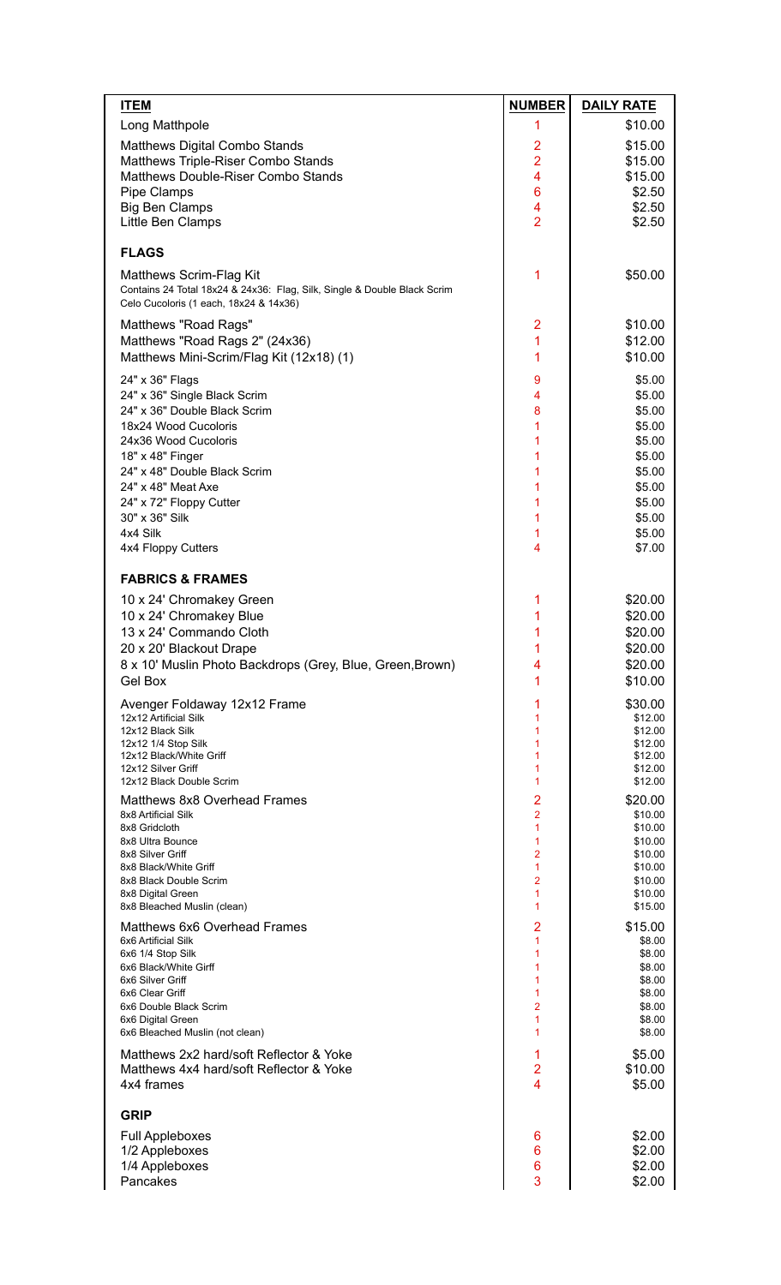| <b>ITEM</b>                                                                                                        | <b>NUMBER</b>                             | <b>DAILY RATE</b>  |
|--------------------------------------------------------------------------------------------------------------------|-------------------------------------------|--------------------|
| Long Matthpole                                                                                                     | 1                                         | \$10.00            |
| <b>Matthews Digital Combo Stands</b>                                                                               | 2                                         | \$15.00            |
| Matthews Triple-Riser Combo Stands                                                                                 | $\overline{2}$                            | \$15.00            |
| Matthews Double-Riser Combo Stands                                                                                 | 4                                         | \$15.00            |
| Pipe Clamps<br><b>Big Ben Clamps</b>                                                                               | 6<br>4                                    | \$2.50<br>\$2.50   |
| Little Ben Clamps                                                                                                  | $\overline{2}$                            | \$2.50             |
| <b>FLAGS</b>                                                                                                       |                                           |                    |
| Matthews Scrim-Flag Kit                                                                                            | 1                                         | \$50.00            |
| Contains 24 Total 18x24 & 24x36: Flag, Silk, Single & Double Black Scrim<br>Celo Cucoloris (1 each, 18x24 & 14x36) |                                           |                    |
| Matthews "Road Rags"                                                                                               | $\overline{2}$                            | \$10.00            |
| Matthews "Road Rags 2" (24x36)                                                                                     | 1                                         | \$12.00            |
| Matthews Mini-Scrim/Flag Kit (12x18) (1)                                                                           | 1                                         | \$10.00            |
| 24" x 36" Flags                                                                                                    | 9                                         | \$5.00             |
| 24" x 36" Single Black Scrim<br>24" x 36" Double Black Scrim                                                       | 4<br>8                                    | \$5.00<br>\$5.00   |
| 18x24 Wood Cucoloris                                                                                               | 1                                         | \$5.00             |
| 24x36 Wood Cucoloris                                                                                               | 1                                         | \$5.00             |
| 18" x 48" Finger                                                                                                   | 1                                         | \$5.00             |
| 24" x 48" Double Black Scrim<br>24" x 48" Meat Axe                                                                 | 1<br>1                                    | \$5.00<br>\$5.00   |
| 24" x 72" Floppy Cutter                                                                                            | 1                                         | \$5.00             |
| 30" x 36" Silk                                                                                                     | 1                                         | \$5.00             |
| 4x4 Silk                                                                                                           | 1                                         | \$5.00             |
| 4x4 Floppy Cutters                                                                                                 | $\overline{4}$                            | \$7.00             |
| <b>FABRICS &amp; FRAMES</b>                                                                                        |                                           |                    |
| 10 x 24' Chromakey Green                                                                                           | 1                                         | \$20.00            |
| 10 x 24' Chromakey Blue<br>13 x 24' Commando Cloth                                                                 | 1<br>1                                    | \$20.00<br>\$20.00 |
| 20 x 20' Blackout Drape                                                                                            | 1                                         | \$20.00            |
| 8 x 10' Muslin Photo Backdrops (Grey, Blue, Green, Brown)                                                          | 4                                         | \$20.00            |
| Gel Box                                                                                                            | 1                                         | \$10.00            |
| Avenger Foldaway 12x12 Frame                                                                                       | 1                                         | \$30.00            |
| 12x12 Artificial Silk<br>12x12 Black Silk                                                                          | 1<br>1                                    | \$12.00<br>\$12.00 |
| 12x12 1/4 Stop Silk                                                                                                | 1                                         | \$12.00            |
| 12x12 Black/White Griff<br>12x12 Silver Griff                                                                      | 1<br>1                                    | \$12.00<br>\$12.00 |
| 12x12 Black Double Scrim                                                                                           | 1                                         | \$12.00            |
| Matthews 8x8 Overhead Frames                                                                                       | $\overline{2}$                            | \$20.00            |
| 8x8 Artificial Silk<br>8x8 Gridcloth                                                                               | $\overline{2}$<br>1                       | \$10.00<br>\$10.00 |
| 8x8 Ultra Bounce                                                                                                   | 1                                         | \$10.00            |
| 8x8 Silver Griff<br>8x8 Black/White Griff                                                                          | $\overline{2}$<br>1                       | \$10.00<br>\$10.00 |
| 8x8 Black Double Scrim                                                                                             | 2                                         | \$10.00            |
| 8x8 Digital Green                                                                                                  | 1<br>1                                    | \$10.00            |
| 8x8 Bleached Muslin (clean)<br>Matthews 6x6 Overhead Frames                                                        | $\overline{2}$                            | \$15.00<br>\$15.00 |
| 6x6 Artificial Silk                                                                                                | 1                                         | \$8.00             |
| 6x6 1/4 Stop Silk                                                                                                  | 1                                         | \$8.00             |
| 6x6 Black/White Girff<br>6x6 Silver Griff                                                                          | 1<br>1                                    | \$8.00<br>\$8.00   |
| 6x6 Clear Griff                                                                                                    | 1                                         | \$8.00             |
| 6x6 Double Black Scrim<br>6x6 Digital Green                                                                        | $\overline{2}$<br>1                       | \$8.00<br>\$8.00   |
| 6x6 Bleached Muslin (not clean)                                                                                    | 1                                         | \$8.00             |
| Matthews 2x2 hard/soft Reflector & Yoke                                                                            | 1                                         | \$5.00             |
| Matthews 4x4 hard/soft Reflector & Yoke<br>4x4 frames                                                              | $\overline{2}$<br>$\overline{\mathbf{4}}$ | \$10.00<br>\$5.00  |
|                                                                                                                    |                                           |                    |
| <b>GRIP</b>                                                                                                        |                                           |                    |
| <b>Full Appleboxes</b><br>1/2 Appleboxes                                                                           | 6<br>6                                    | \$2.00<br>\$2.00   |
| 1/4 Appleboxes                                                                                                     | 6                                         | \$2.00             |
| Pancakes                                                                                                           | 3                                         | \$2.00             |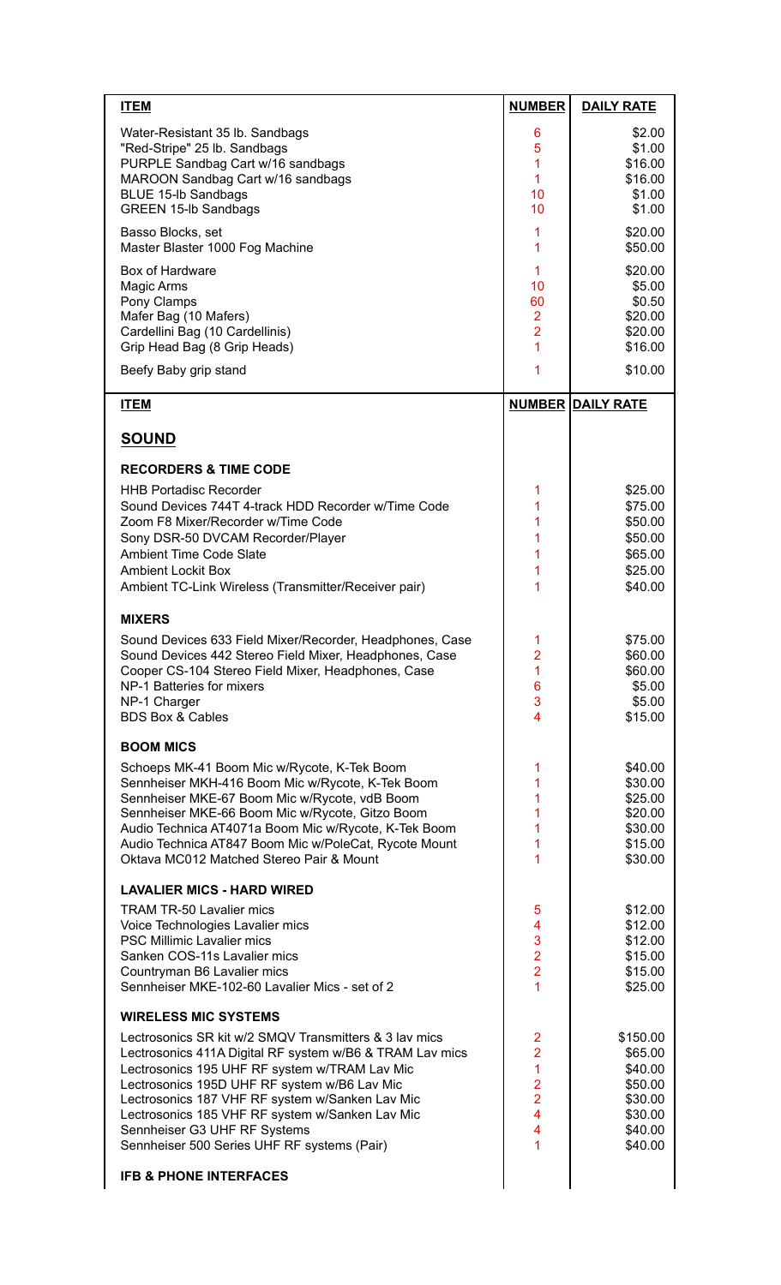| <b>ITEM</b>                                              | <b>NUMBER</b>                    | <b>DAILY RATE</b>        |
|----------------------------------------------------------|----------------------------------|--------------------------|
| Water-Resistant 35 lb. Sandbags                          | 6                                | \$2.00                   |
| "Red-Stripe" 25 lb. Sandbags                             | 5                                | \$1.00                   |
| PURPLE Sandbag Cart w/16 sandbags                        | $\overline{1}$                   | \$16.00                  |
| MAROON Sandbag Cart w/16 sandbags                        | $\mathbf{1}$                     | \$16.00                  |
| <b>BLUE 15-lb Sandbags</b>                               | 10                               | \$1.00                   |
| <b>GREEN 15-lb Sandbags</b>                              | 10                               | \$1.00                   |
| Basso Blocks, set                                        | 1                                | \$20.00                  |
| Master Blaster 1000 Fog Machine                          | 1                                | \$50.00                  |
| Box of Hardware                                          | $\mathbf 1$                      | \$20.00                  |
| Magic Arms                                               | 10                               | \$5.00                   |
| Pony Clamps                                              | 60                               | \$0.50                   |
| Mafer Bag (10 Mafers)                                    | $\overline{2}$                   | \$20.00                  |
| Cardellini Bag (10 Cardellinis)                          | $\overline{2}$<br>$\overline{1}$ | \$20.00<br>\$16.00       |
| Grip Head Bag (8 Grip Heads)                             |                                  |                          |
| Beefy Baby grip stand                                    | 1                                | \$10.00                  |
| <b>ITEM</b>                                              |                                  | <b>NUMBER DAILY RATE</b> |
|                                                          |                                  |                          |
| <b>SOUND</b>                                             |                                  |                          |
| <b>RECORDERS &amp; TIME CODE</b>                         |                                  |                          |
| <b>HHB Portadisc Recorder</b>                            | 1                                | \$25.00                  |
| Sound Devices 744T 4-track HDD Recorder w/Time Code      | 1                                | \$75.00                  |
| Zoom F8 Mixer/Recorder w/Time Code                       | 1                                | \$50.00                  |
| Sony DSR-50 DVCAM Recorder/Player                        | 1                                | \$50.00                  |
| <b>Ambient Time Code Slate</b>                           | 1                                | \$65.00                  |
| <b>Ambient Lockit Box</b>                                | 1                                | \$25.00                  |
| Ambient TC-Link Wireless (Transmitter/Receiver pair)     | 1                                | \$40.00                  |
| <b>MIXERS</b>                                            |                                  |                          |
| Sound Devices 633 Field Mixer/Recorder, Headphones, Case | 1                                | \$75.00                  |
| Sound Devices 442 Stereo Field Mixer, Headphones, Case   | $\overline{2}$                   | \$60.00                  |
| Cooper CS-104 Stereo Field Mixer, Headphones, Case       | 1                                | \$60.00                  |
| NP-1 Batteries for mixers                                | 6                                | \$5.00                   |
| NP-1 Charger                                             | 3                                | \$5.00                   |
| <b>BDS Box &amp; Cables</b>                              | $\overline{4}$                   | \$15.00                  |
| <b>BOOM MICS</b>                                         |                                  |                          |
| Schoeps MK-41 Boom Mic w/Rycote, K-Tek Boom              | 1                                | \$40.00                  |
| Sennheiser MKH-416 Boom Mic w/Rycote, K-Tek Boom         | 1                                | \$30.00                  |
| Sennheiser MKE-67 Boom Mic w/Rycote, vdB Boom            | 1                                | \$25.00                  |
| Sennheiser MKE-66 Boom Mic w/Rycote, Gitzo Boom          | 1                                | \$20.00                  |
| Audio Technica AT4071a Boom Mic w/Rycote, K-Tek Boom     | 1                                | \$30.00                  |
| Audio Technica AT847 Boom Mic w/PoleCat, Rycote Mount    | 1                                | \$15.00                  |
| Oktava MC012 Matched Stereo Pair & Mount                 | 1                                | \$30.00                  |
| <b>LAVALIER MICS - HARD WIRED</b>                        |                                  |                          |
| <b>TRAM TR-50 Lavalier mics</b>                          | 5                                | \$12.00                  |
| Voice Technologies Lavalier mics                         | 4                                | \$12.00                  |
| <b>PSC Millimic Lavalier mics</b>                        | 3                                | \$12.00                  |
| Sanken COS-11s Lavalier mics                             | $\overline{2}$                   | \$15.00                  |
| Countryman B6 Lavalier mics                              | $\overline{2}$                   | \$15.00                  |
| Sennheiser MKE-102-60 Lavalier Mics - set of 2           | 1                                | \$25.00                  |
| <b>WIRELESS MIC SYSTEMS</b>                              |                                  |                          |
| Lectrosonics SR kit w/2 SMQV Transmitters & 3 lav mics   | 2                                | \$150.00                 |
| Lectrosonics 411A Digital RF system w/B6 & TRAM Lav mics | $\overline{2}$                   | \$65.00                  |
| Lectrosonics 195 UHF RF system w/TRAM Lav Mic            | $\overline{1}$                   | \$40.00                  |
| Lectrosonics 195D UHF RF system w/B6 Lav Mic             | $\overline{2}$                   | \$50.00                  |
| Lectrosonics 187 VHF RF system w/Sanken Lav Mic          | $\overline{2}$                   | \$30.00                  |
| Lectrosonics 185 VHF RF system w/Sanken Lav Mic          | $\overline{4}$                   | \$30.00                  |
| Sennheiser G3 UHF RF Systems                             | 4                                | \$40.00                  |
| Sennheiser 500 Series UHF RF systems (Pair)              | 1                                | \$40.00                  |
| <b>IFB &amp; PHONE INTERFACES</b>                        |                                  |                          |